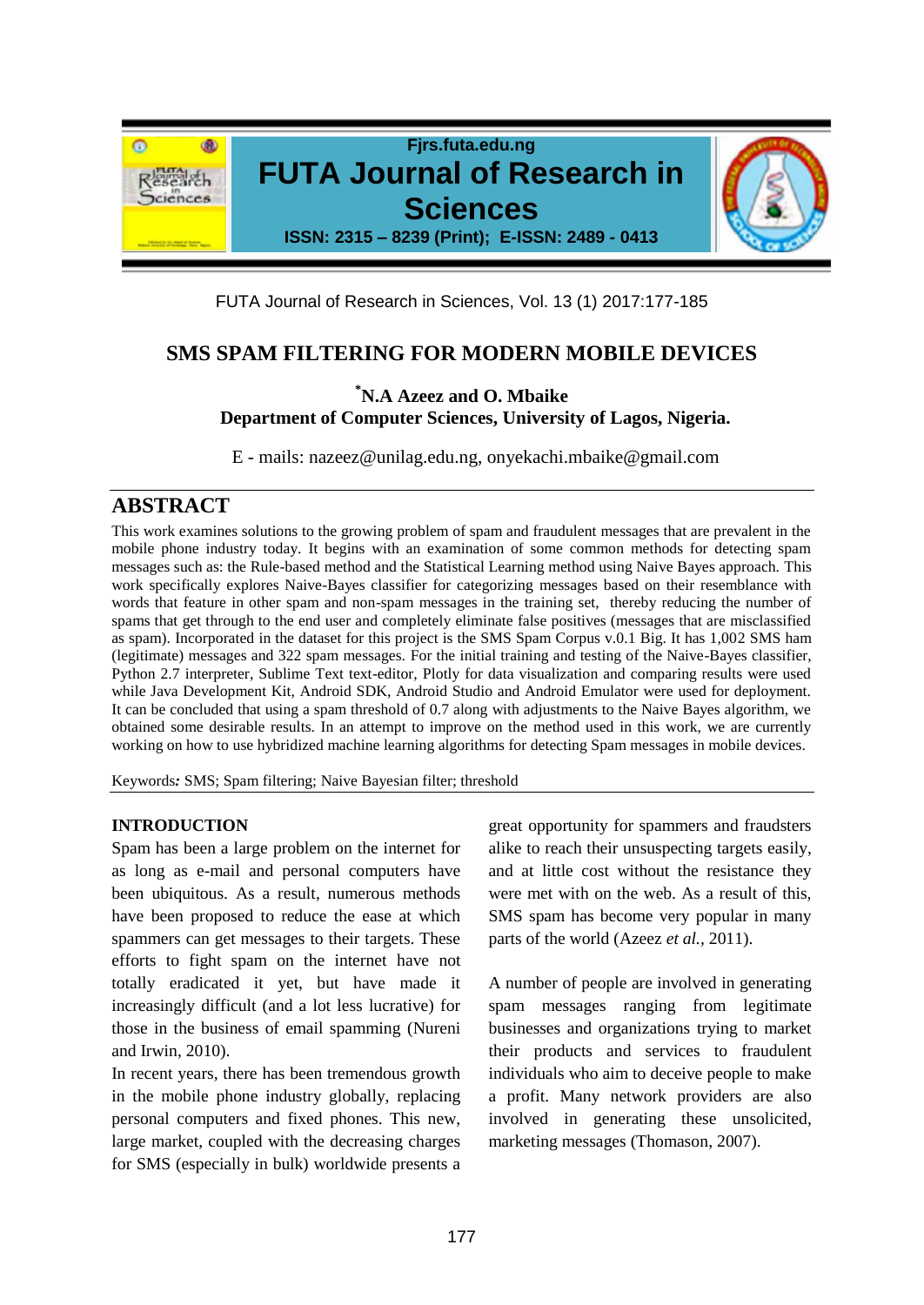

FUTA Journal of Research in Sciences, Vol. 13 (1) 2017:177-185

# **SMS SPAM FILTERING FOR MODERN MOBILE DEVICES**

# **\*N.A Azeez and O. Mbaike Department of Computer Sciences, University of Lagos, Nigeria.**

E - mails: nazeez@unilag.edu.ng, onyekachi.mbaike@gmail.com

# **ABSTRACT**

This work examines solutions to the growing problem of spam and fraudulent messages that are prevalent in the mobile phone industry today. It begins with an examination of some common methods for detecting spam messages such as: the Rule-based method and the Statistical Learning method using Naive Bayes approach. This work specifically explores Naive-Bayes classifier for categorizing messages based on their resemblance with words that feature in other spam and non-spam messages in the training set, thereby reducing the number of spams that get through to the end user and completely eliminate false positives (messages that are misclassified as spam). Incorporated in the dataset for this project is the SMS Spam Corpus v.0.1 Big. It has 1,002 SMS ham (legitimate) messages and 322 spam messages. For the initial training and testing of the Naive-Bayes classifier, Python 2.7 interpreter, Sublime Text text-editor, Plotly for data visualization and comparing results were used while Java Development Kit, Android SDK, Android Studio and Android Emulator were used for deployment. It can be concluded that using a spam threshold of 0.7 along with adjustments to the Naive Bayes algorithm, we obtained some desirable results. In an attempt to improve on the method used in this work, we are currently working on how to use hybridized machine learning algorithms for detecting Spam messages in mobile devices.

Keywords*:* SMS; Spam filtering; Naive Bayesian filter; threshold

### **INTRODUCTION**

Spam has been a large problem on the internet for as long as e-mail and personal computers have been ubiquitous. As a result, numerous methods have been proposed to reduce the ease at which spammers can get messages to their targets. These efforts to fight spam on the internet have not totally eradicated it yet, but have made it increasingly difficult (and a lot less lucrative) for those in the business of email spamming (Nureni and Irwin, 2010).

In recent years, there has been tremendous growth in the mobile phone industry globally, replacing personal computers and fixed phones. This new, large market, coupled with the decreasing charges for SMS (especially in bulk) worldwide presents a

great opportunity for spammers and fraudsters alike to reach their unsuspecting targets easily, and at little cost without the resistance they were met with on the web. As a result of this, SMS spam has become very popular in many parts of the world (Azeez *et al.,* 2011).

A number of people are involved in generating spam messages ranging from legitimate businesses and organizations trying to market their products and services to fraudulent individuals who aim to deceive people to make a profit. Many network providers are also involved in generating these unsolicited, marketing messages (Thomason, 2007).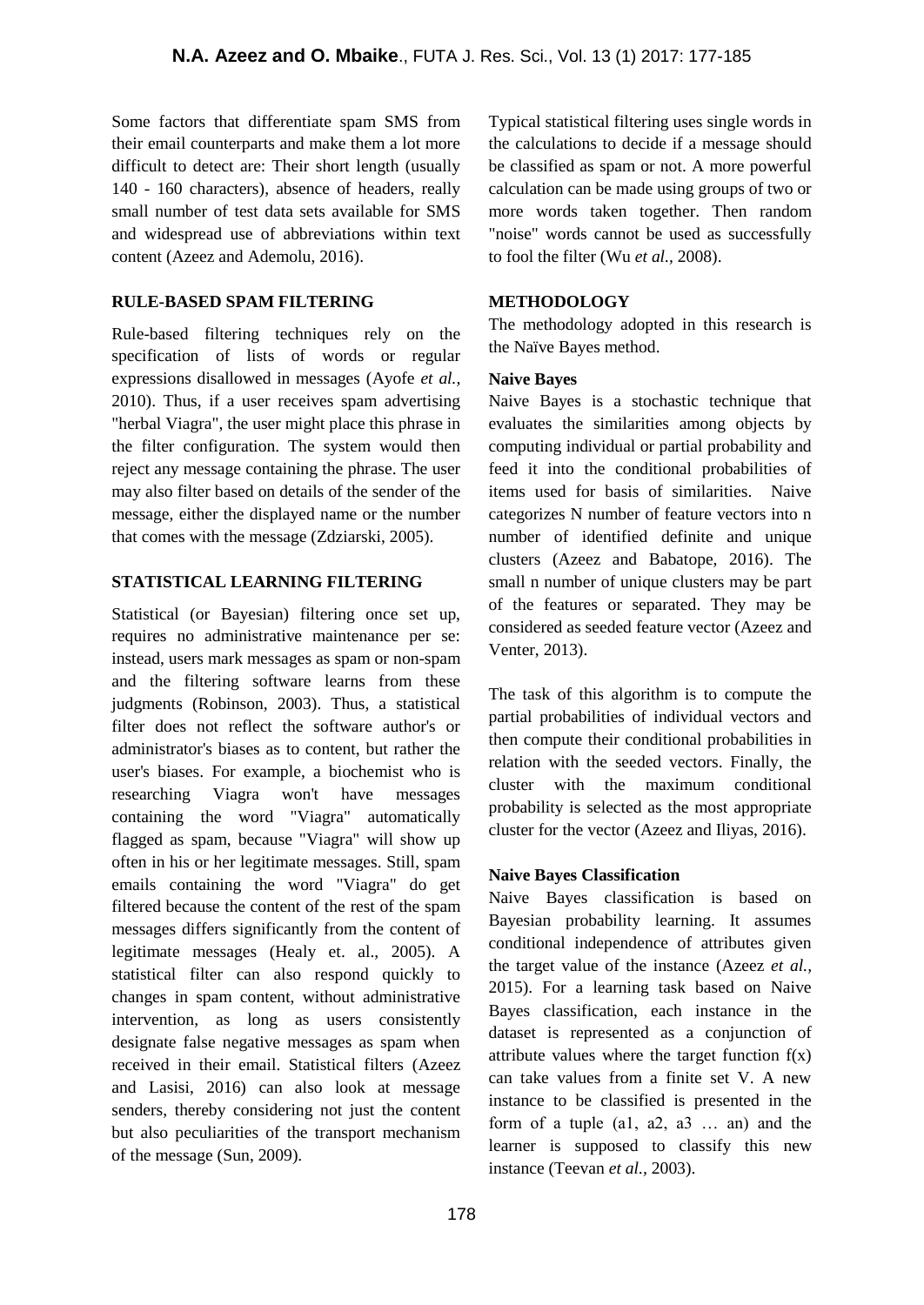Some factors that differentiate spam SMS from their email counterparts and make them a lot more difficult to detect are: Their short length (usually 140 - 160 characters), absence of headers, really small number of test data sets available for SMS and widespread use of abbreviations within text content (Azeez and Ademolu, 2016).

## **RULE-BASED SPAM FILTERING**

Rule-based filtering techniques rely on the specification of lists of words or regular expressions disallowed in messages (Ayofe *et al.,* 2010). Thus, if a user receives spam advertising "herbal Viagra", the user might place this phrase in the filter configuration. The system would then reject any message containing the phrase. The user may also filter based on details of the sender of the message, either the displayed name or the number that comes with the message (Zdziarski, 2005).

## **STATISTICAL LEARNING FILTERING**

Statistical (or Bayesian) filtering once set up, requires no administrative maintenance per se: instead, users mark messages as spam or non-spam and the filtering software learns from these judgments (Robinson, 2003). Thus, a statistical filter does not reflect the software author's or administrator's biases as to content, but rather the user's biases. For example, a biochemist who is researching Viagra won't have messages containing the word "Viagra" automatically flagged as spam, because "Viagra" will show up often in his or her legitimate messages. Still, spam emails containing the word "Viagra" do get filtered because the content of the rest of the spam messages differs significantly from the content of legitimate messages (Healy et. al., 2005). A statistical filter can also respond quickly to changes in spam content, without administrative intervention, as long as users consistently designate false negative messages as spam when received in their email. Statistical filters (Azeez and Lasisi, 2016) can also look at message senders, thereby considering not just the content but also peculiarities of the transport mechanism of the message (Sun, 2009).

Typical statistical filtering uses single words in the calculations to decide if a message should be classified as spam or not. A more powerful calculation can be made using groups of two or more words taken together. Then random "noise" words cannot be used as successfully to fool the filter (Wu *et al.,* 2008).

## **METHODOLOGY**

The methodology adopted in this research is the Naïve Bayes method.

## **Naive Bayes**

Naive Bayes is a stochastic technique that evaluates the similarities among objects by computing individual or partial probability and feed it into the conditional probabilities of items used for basis of similarities. Naive categorizes N number of feature vectors into n number of identified definite and unique clusters (Azeez and Babatope, 2016). The small n number of unique clusters may be part of the features or separated. They may be considered as seeded feature vector (Azeez and Venter, 2013).

The task of this algorithm is to compute the partial probabilities of individual vectors and then compute their conditional probabilities in relation with the seeded vectors. Finally, the cluster with the maximum conditional probability is selected as the most appropriate cluster for the vector (Azeez and Iliyas, 2016).

## **Naive Bayes Classification**

Naive Bayes classification is based on Bayesian probability learning. It assumes conditional independence of attributes given the target value of the instance (Azeez *et al.,* 2015). For a learning task based on Naive Bayes classification, each instance in the dataset is represented as a conjunction of attribute values where the target function  $f(x)$ can take values from a finite set V. A new instance to be classified is presented in the form of a tuple  $(a1, a2, a3 \ldots an)$  and the learner is supposed to classify this new instance (Teevan *et al.,* 2003).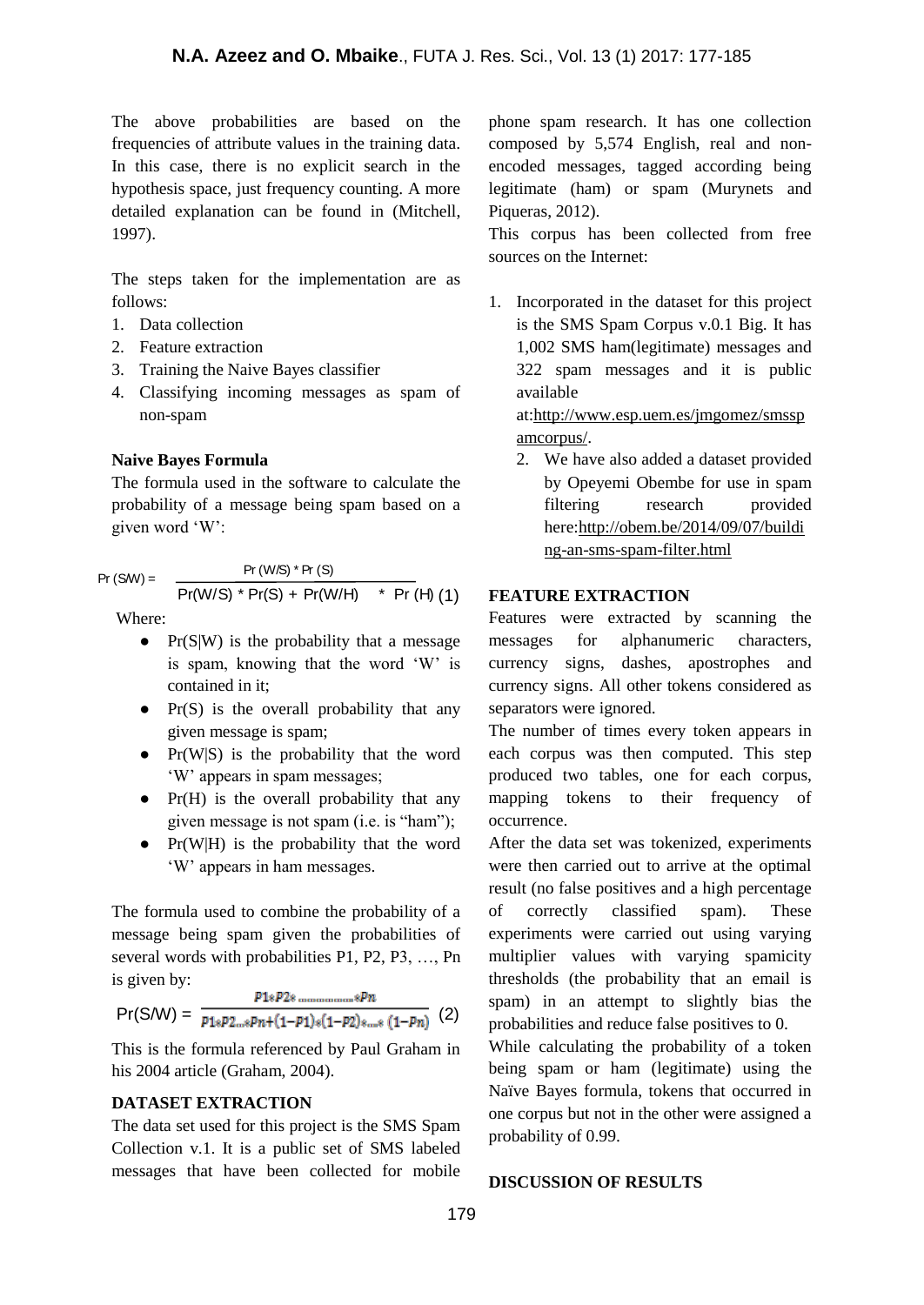The above probabilities are based on the frequencies of attribute values in the training data. In this case, there is no explicit search in the hypothesis space, just frequency counting. A more detailed explanation can be found in (Mitchell, 1997).

The steps taken for the implementation are as follows:

- 1. Data collection
- 2. Feature extraction
- 3. Training the Naive Bayes classifier
- 4. Classifying incoming messages as spam of non-spam

#### **Naive Bayes Formula**

The formula used in the software to calculate the probability of a message being spam based on a given word 'W':

 $Pr(S/W) = \frac{Pr(W/S) * Pr(S)}{Pr(S)}$ 

$$
Pr(W/S) * Pr(S) + Pr(W/H) * Pr(H) (1)
$$

Where:

- $\bullet$  Pr(S|W) is the probability that a message is spam, knowing that the word 'W' is contained in it;
- $\bullet$  Pr(S) is the overall probability that any given message is spam;
- Pr(W|S) is the probability that the word 'W' appears in spam messages;
- $\bullet$  Pr(H) is the overall probability that any given message is not spam (i.e. is "ham");
- $\bullet$  Pr(W|H) is the probability that the word 'W' appears in ham messages.

The formula used to combine the probability of a message being spam given the probabilities of several words with probabilities P1, P2, P3, …, Pn is given by:

$$
Pr(S/W) = \frac{p_{1*}p_{2* \dots m \dots m \dots m}p_n}{p_{1*}p_{2\dots *}p_{n+}(1-p_1)*(1-p_2)*\dots*(1-p_n)} (2)
$$

This is the formula referenced by Paul Graham in his 2004 article (Graham, 2004).

#### **DATASET EXTRACTION**

The data set used for this project is the SMS Spam Collection v.1. It is a public set of SMS labeled messages that have been collected for mobile

phone spam research. It has one collection composed by 5,574 English, real and nonencoded messages, tagged according being legitimate (ham) or spam (Murynets and Piqueras, 2012).

This corpus has been collected from free sources on the Internet:

1. Incorporated in the dataset for this project is the SMS Spam Corpus v.0.1 Big. It has 1,002 SMS ham(legitimate) messages and 322 spam messages and it is public available

at[:http://www.esp.uem.es/jmgomez/smssp](http://www.esp.uem.es/jmgomez/smsspamcorpus/) [amcorpus/.](http://www.esp.uem.es/jmgomez/smsspamcorpus/)

2. We have also added a dataset provided by Opeyemi Obembe for use in spam filtering research provided here[:http://obem.be/2014/09/07/buildi](http://obem.be/2014/09/07/building-an-sms-spam-filter.html) [ng-an-sms-spam-filter.html](http://obem.be/2014/09/07/building-an-sms-spam-filter.html)

#### **FEATURE EXTRACTION**

Features were extracted by scanning the messages for alphanumeric characters, currency signs, dashes, apostrophes and currency signs. All other tokens considered as separators were ignored.

The number of times every token appears in each corpus was then computed. This step produced two tables, one for each corpus, mapping tokens to their frequency of occurrence.

After the data set was tokenized, experiments were then carried out to arrive at the optimal result (no false positives and a high percentage of correctly classified spam). These experiments were carried out using varying multiplier values with varying spamicity thresholds (the probability that an email is spam) in an attempt to slightly bias the probabilities and reduce false positives to 0.

While calculating the probability of a token being spam or ham (legitimate) using the Naïve Bayes formula, tokens that occurred in one corpus but not in the other were assigned a probability of 0.99.

#### **DISCUSSION OF RESULTS**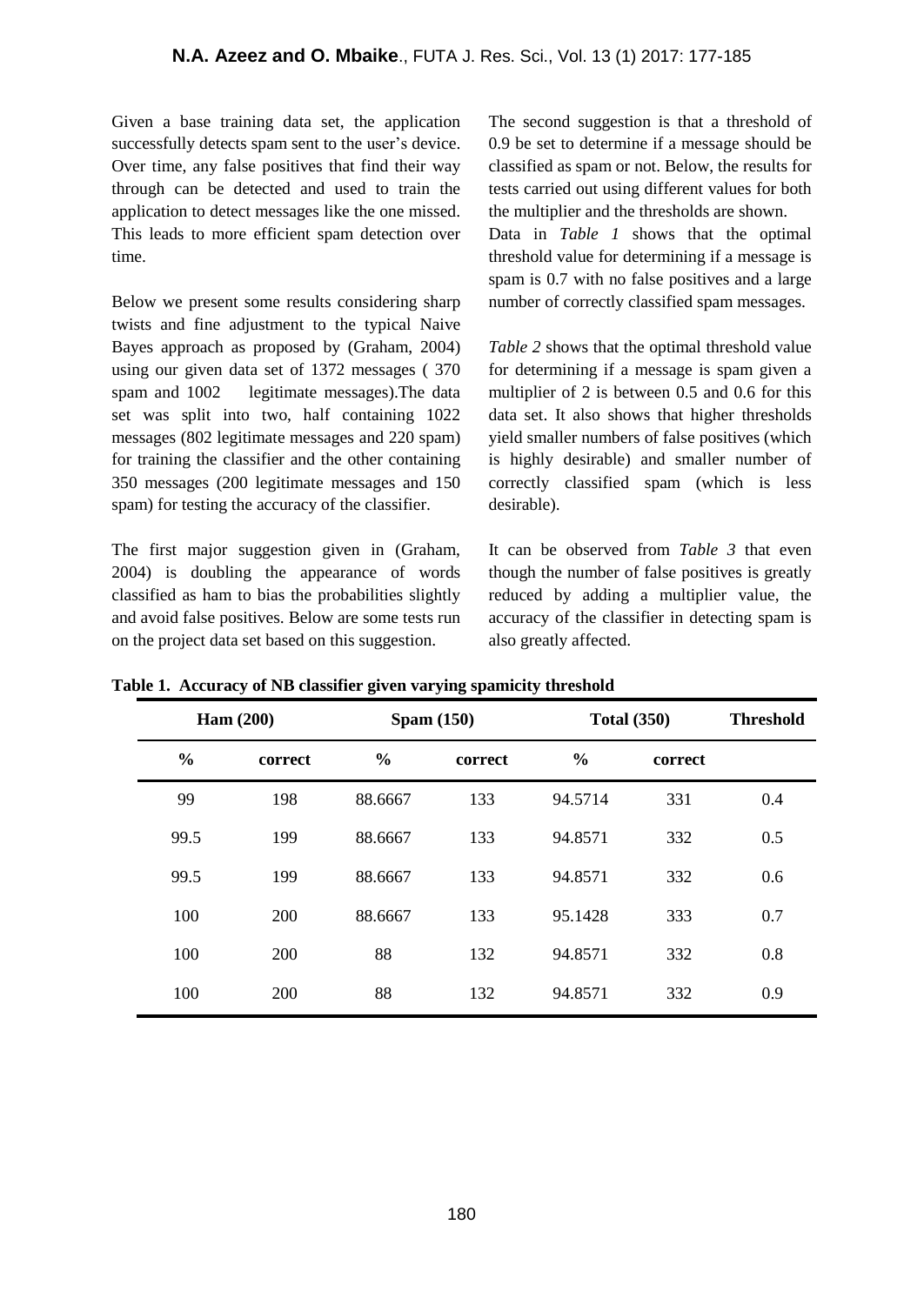Given a base training data set, the application successfully detects spam sent to the user's device. Over time, any false positives that find their way through can be detected and used to train the application to detect messages like the one missed. This leads to more efficient spam detection over time.

Below we present some results considering sharp twists and fine adjustment to the typical Naive Bayes approach as proposed by (Graham, 2004) using our given data set of 1372 messages ( 370 spam and 1002 legitimate messages).The data set was split into two, half containing 1022 messages (802 legitimate messages and 220 spam) for training the classifier and the other containing 350 messages (200 legitimate messages and 150 spam) for testing the accuracy of the classifier.

The first major suggestion given in (Graham, 2004) is doubling the appearance of words classified as ham to bias the probabilities slightly and avoid false positives. Below are some tests run on the project data set based on this suggestion.

The second suggestion is that a threshold of 0.9 be set to determine if a message should be classified as spam or not. Below, the results for tests carried out using different values for both the multiplier and the thresholds are shown.

Data in *Table 1* shows that the optimal threshold value for determining if a message is spam is 0.7 with no false positives and a large number of correctly classified spam messages.

*Table 2* shows that the optimal threshold value for determining if a message is spam given a multiplier of 2 is between 0.5 and 0.6 for this data set. It also shows that higher thresholds yield smaller numbers of false positives (which is highly desirable) and smaller number of correctly classified spam (which is less desirable).

It can be observed from *Table 3* that even though the number of false positives is greatly reduced by adding a multiplier value, the accuracy of the classifier in detecting spam is also greatly affected.

| Ham $(200)$   |         | Spam(150)     |         | <b>Total (350)</b> |         | <b>Threshold</b> |
|---------------|---------|---------------|---------|--------------------|---------|------------------|
| $\frac{0}{0}$ | correct | $\frac{0}{0}$ | correct | $\frac{0}{0}$      | correct |                  |
| 99            | 198     | 88.6667       | 133     | 94.5714            | 331     | 0.4              |
| 99.5          | 199     | 88.6667       | 133     | 94.8571            | 332     | 0.5              |
| 99.5          | 199     | 88.6667       | 133     | 94.8571            | 332     | 0.6              |
| 100           | 200     | 88.6667       | 133     | 95.1428            | 333     | 0.7              |
| 100           | 200     | 88            | 132     | 94.8571            | 332     | 0.8              |
| 100           | 200     | 88            | 132     | 94.8571            | 332     | 0.9              |

**Table 1. Accuracy of NB classifier given varying spamicity threshold**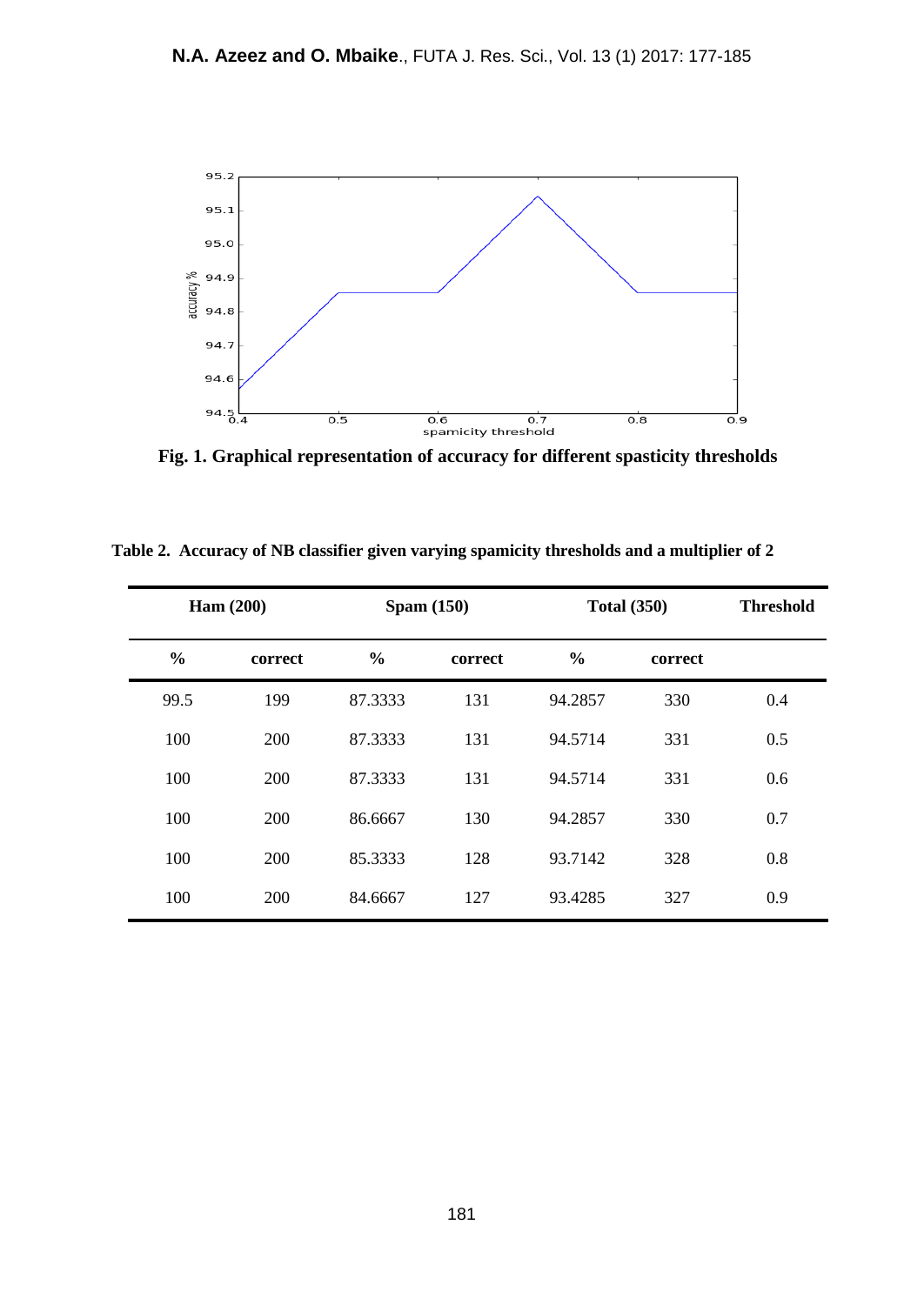

**Fig. 1. Graphical representation of accuracy for different spasticity thresholds**

**Table 2. Accuracy of NB classifier given varying spamicity thresholds and a multiplier of 2**

| Ham $(200)$   |         | Spam(150)     |         | <b>Total (350)</b> |         | <b>Threshold</b> |
|---------------|---------|---------------|---------|--------------------|---------|------------------|
| $\frac{0}{0}$ | correct | $\frac{0}{0}$ | correct | $\frac{0}{0}$      | correct |                  |
| 99.5          | 199     | 87.3333       | 131     | 94.2857            | 330     | 0.4              |
| 100           | 200     | 87.3333       | 131     | 94.5714            | 331     | 0.5              |
| 100           | 200     | 87.3333       | 131     | 94.5714            | 331     | 0.6              |
| 100           | 200     | 86.6667       | 130     | 94.2857            | 330     | 0.7              |
| 100           | 200     | 85.3333       | 128     | 93.7142            | 328     | 0.8              |
| 100           | 200     | 84.6667       | 127     | 93.4285            | 327     | 0.9              |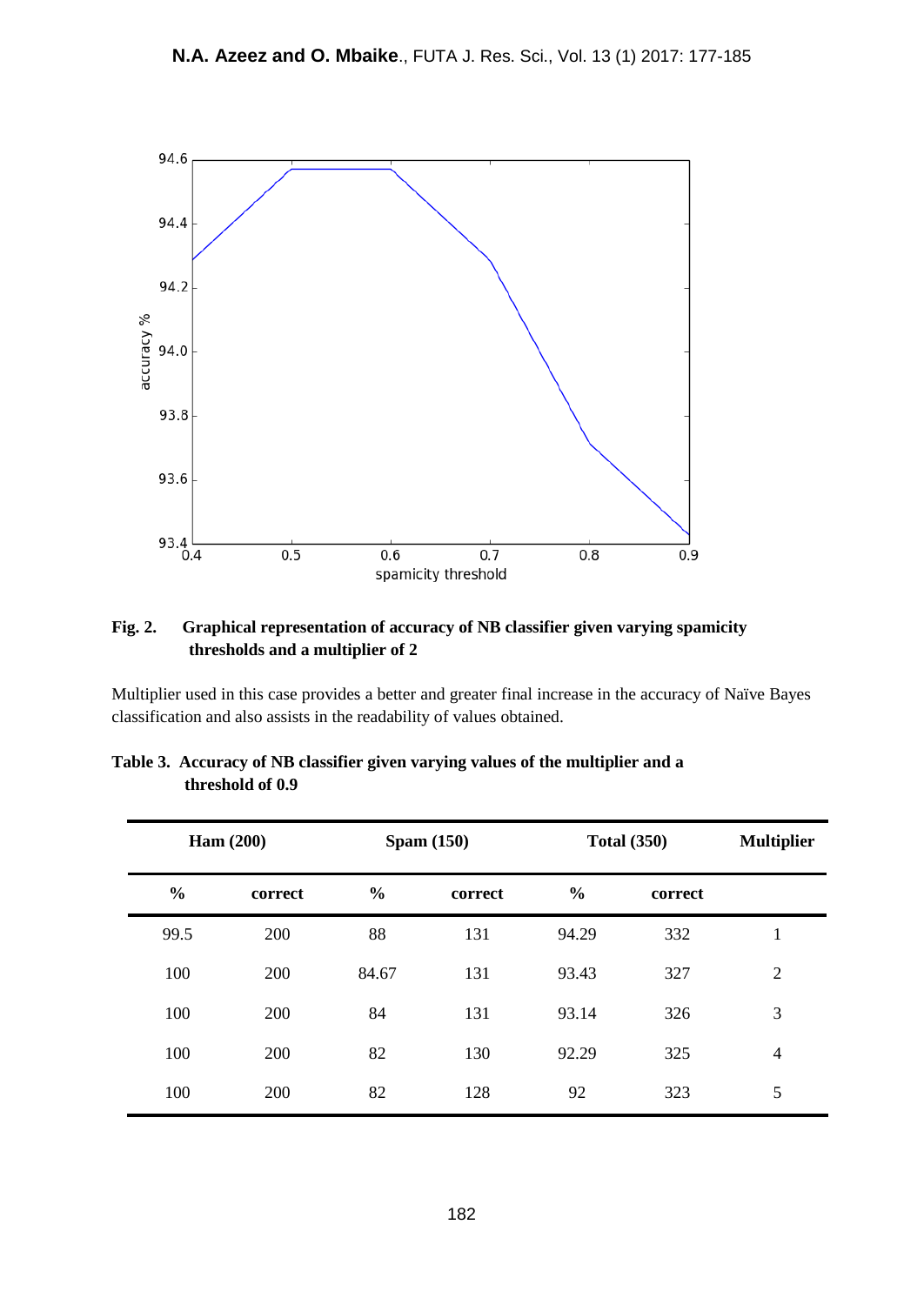

# **Fig. 2. Graphical representation of accuracy of NB classifier given varying spamicity thresholds and a multiplier of 2**

Multiplier used in this case provides a better and greater final increase in the accuracy of Naïve Bayes classification and also assists in the readability of values obtained.

| Ham $(200)$   |         | Spam(150)     |         | <b>Total (350)</b> |         | <b>Multiplier</b> |
|---------------|---------|---------------|---------|--------------------|---------|-------------------|
| $\frac{0}{0}$ | correct | $\frac{0}{0}$ | correct | $\frac{0}{0}$      | correct |                   |
| 99.5          | 200     | 88            | 131     | 94.29              | 332     | $\mathbf{1}$      |
| 100           | 200     | 84.67         | 131     | 93.43              | 327     | $\overline{2}$    |
| 100           | 200     | 84            | 131     | 93.14              | 326     | 3                 |
| 100           | 200     | 82            | 130     | 92.29              | 325     | $\overline{4}$    |
| 100           | 200     | 82            | 128     | 92                 | 323     | 5                 |

| Table 3. Accuracy of NB classifier given varying values of the multiplier and a |  |  |
|---------------------------------------------------------------------------------|--|--|
| threshold of 0.9                                                                |  |  |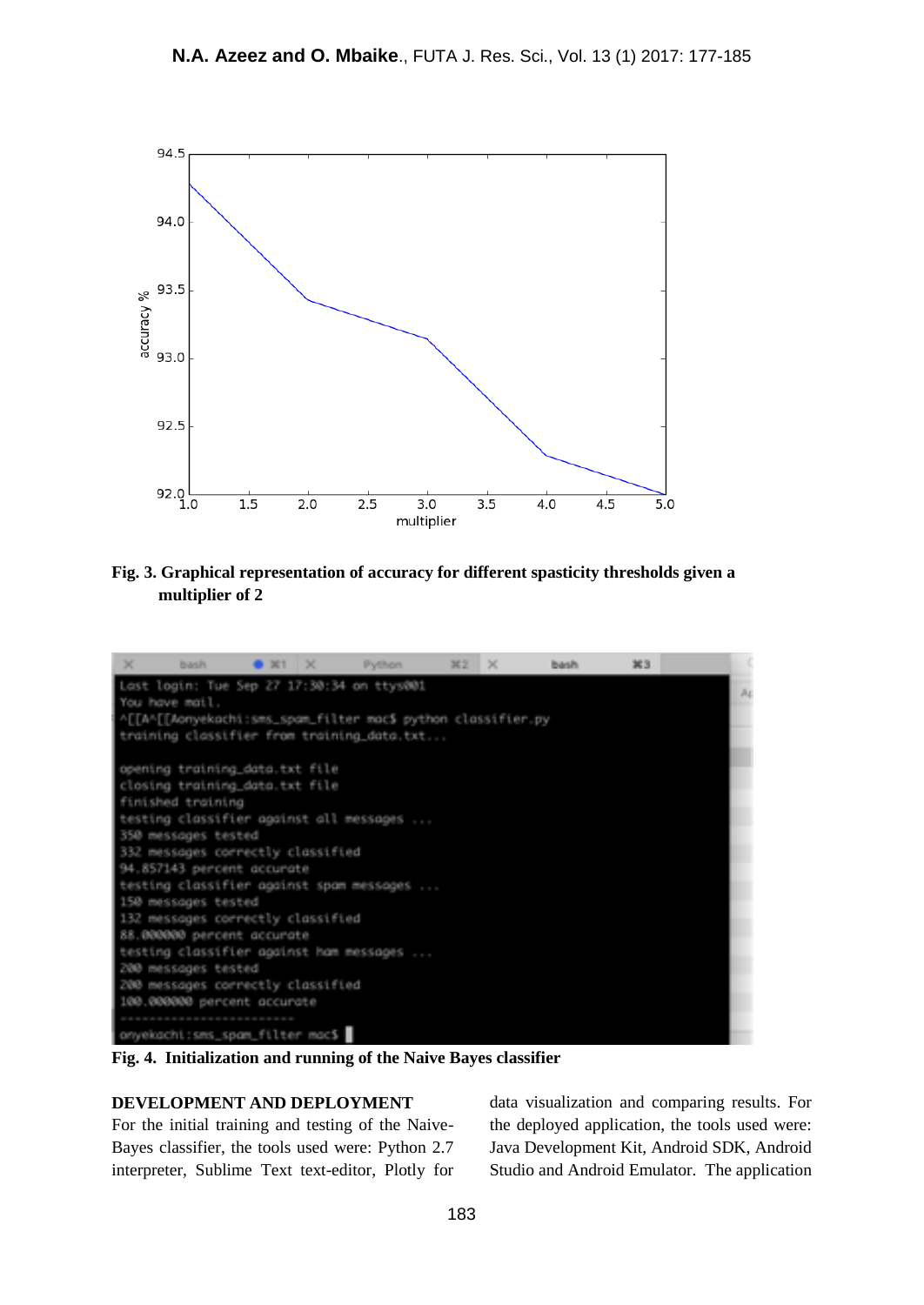

**Fig. 3. Graphical representation of accuracy for different spasticity thresholds given a multiplier of 2**



**Fig. 4. Initialization and running of the Naive Bayes classifier**

#### **DEVELOPMENT AND DEPLOYMENT**

For the initial training and testing of the Naive-Bayes classifier, the tools used were: Python 2.7 interpreter, Sublime Text text-editor, Plotly for data visualization and comparing results. For the deployed application, the tools used were: Java Development Kit, Android SDK, Android Studio and Android Emulator. The application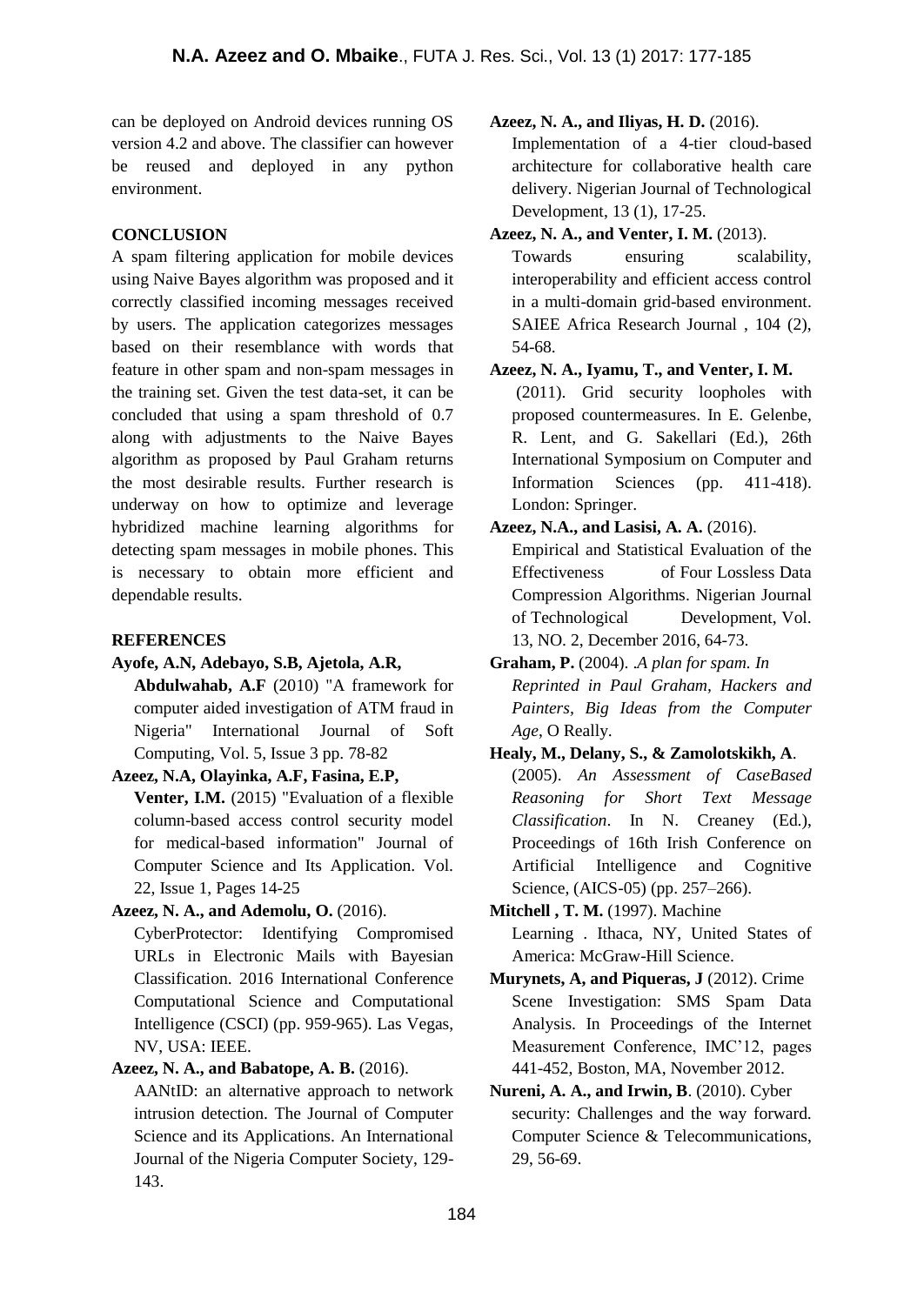can be deployed on Android devices running OS version 4.2 and above. The classifier can however be reused and deployed in any python environment.

# **CONCLUSION**

A spam filtering application for mobile devices using Naive Bayes algorithm was proposed and it correctly classified incoming messages received by users. The application categorizes messages based on their resemblance with words that feature in other spam and non-spam messages in the training set. Given the test data-set, it can be concluded that using a spam threshold of 0.7 along with adjustments to the Naive Bayes algorithm as proposed by Paul Graham returns the most desirable results. Further research is underway on how to optimize and leverage hybridized machine learning algorithms for detecting spam messages in mobile phones. This is necessary to obtain more efficient and dependable results.

# **REFERENCES**

**Ayofe, A.N, Adebayo, S.B, Ajetola, A.R,**

**Abdulwahab, A.F** (2010) "A framework for computer aided investigation of ATM fraud in Nigeria" International Journal of Soft Computing, Vol. 5, Issue 3 pp. 78-82

# **Azeez, N.A, Olayinka, A.F, Fasina, E.P,**

**Venter, I.M.** (2015) "Evaluation of a flexible column-based access control security model for medical-based information" Journal of Computer Science and Its Application. Vol. 22, Issue 1, Pages 14-25

# **Azeez, N. A., and Ademolu, O.** (2016).

CyberProtector: Identifying Compromised URLs in Electronic Mails with Bayesian Classification. 2016 International Conference Computational Science and Computational Intelligence (CSCI) (pp. 959-965). Las Vegas, NV, USA: IEEE.

# **Azeez, N. A., and Babatope, A. B.** (2016).

AANtID: an alternative approach to network intrusion detection. The Journal of Computer Science and its Applications. An International Journal of the Nigeria Computer Society, 129- 143.

## **Azeez, N. A., and Iliyas, H. D.** (2016).

Implementation of a 4-tier cloud-based architecture for collaborative health care delivery. Nigerian Journal of Technological Development, 13 (1), 17-25.

## **Azeez, N. A., and Venter, I. M.** (2013).

Towards ensuring scalability, interoperability and efficient access control in a multi-domain grid-based environment. SAIEE Africa Research Journal , 104 (2), 54-68.

# **Azeez, N. A., Iyamu, T., and Venter, I. M.**

(2011). Grid security loopholes with proposed countermeasures. In E. Gelenbe, R. Lent, and G. Sakellari (Ed.), 26th International Symposium on Computer and Information Sciences (pp. 411-418). London: Springer.

# **Azeez, N.A., and Lasisi, A. A.** (2016).

[Empirical and Statistical Evaluation of the](https://www.ajol.info/index.php/njtd/article/view/152843)  [Effectiveness of Four Lossless Data](https://www.ajol.info/index.php/njtd/article/view/152843)  [Compression Algorithms.](https://www.ajol.info/index.php/njtd/article/view/152843) Nigerian Journal of Technological Development, Vol. 13, NO. 2, December 2016, 64-73.

**Graham, P.** (2004). .*A plan for spam. In Reprinted in Paul Graham, Hackers and Painters, Big Ideas from the Computer Age*, O Really.

## **Healy, M., Delany, S., & Zamolotskikh, A**.

(2005). *An Assessment of CaseBased Reasoning for Short Text Message Classification*. In N. Creaney (Ed.), Proceedings of 16th Irish Conference on Artificial Intelligence and Cognitive Science, (AICS-05) (pp. 257–266).

# **Mitchell , T. M.** (1997). Machine

Learning . Ithaca, NY, United States of America: McGraw-Hill Science.

- **Murynets, A, and Piqueras, J** (2012). Crime Scene Investigation: SMS Spam Data Analysis. In Proceedings of the Internet Measurement Conference, IMC'12, pages 441-452, Boston, MA, November 2012.
- **Nureni, A. A., and Irwin, B**. (2010). Cyber security: Challenges and the way forward. Computer Science & Telecommunications, 29, 56-69.